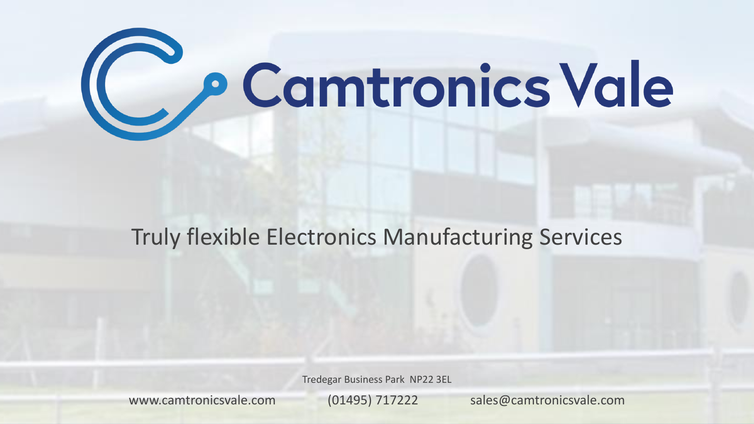

# Truly flexible Electronics Manufacturing Services

Tredegar Business Park NP22 3EL

www.camtronicsvale.com (01495) 717222 sales@camtronicsvale.com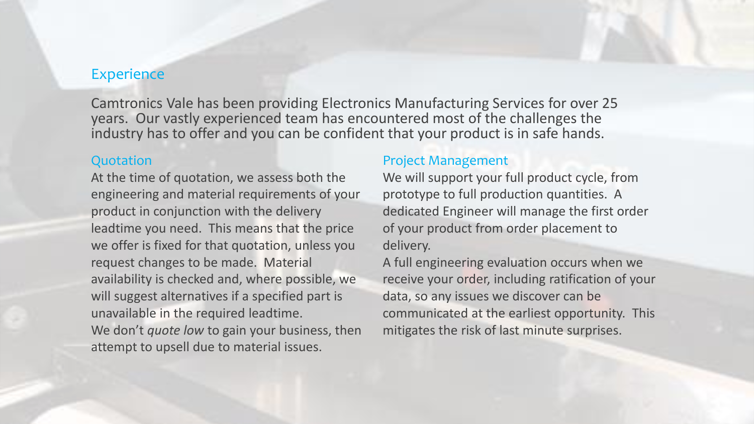### **Experience**

Camtronics Vale has been providing Electronics Manufacturing Services for over 25 years. Our vastly experienced team has encountered most of the challenges the industry has to offer and you can be confident that your product is in safe hands.

#### **Quotation**

At the time of quotation, we assess both the engineering and material requirements of your product in conjunction with the delivery leadtime you need. This means that the price we offer is fixed for that quotation, unless you request changes to be made. Material availability is checked and, where possible, we will suggest alternatives if a specified part is unavailable in the required leadtime. We don't *quote low* to gain your business, then attempt to upsell due to material issues.

#### Project Management

We will support your full product cycle, from prototype to full production quantities. A dedicated Engineer will manage the first order of your product from order placement to delivery.

A full engineering evaluation occurs when we receive your order, including ratification of your data, so any issues we discover can be communicated at the earliest opportunity. This mitigates the risk of last minute surprises.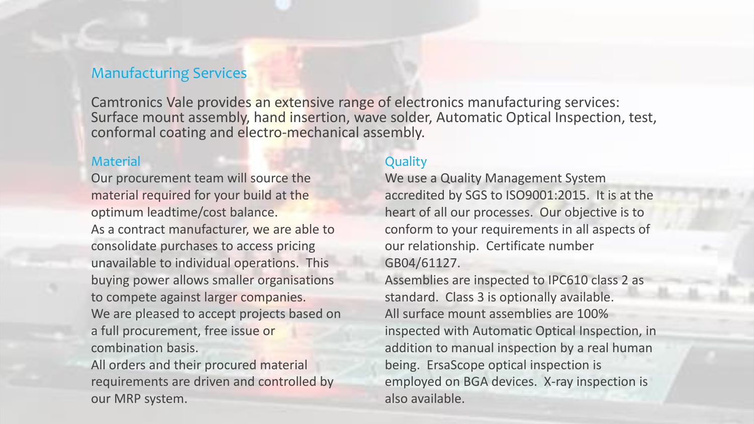## Manufacturing Services

Camtronics Vale provides an extensive range of electronics manufacturing services: Surface mount assembly, hand insertion, wave solder, Automatic Optical Inspection, test, conformal coating and electro-mechanical assembly.

#### **Material**

Our procurement team will source the material required for your build at the optimum leadtime/cost balance.

As a contract manufacturer, we are able to consolidate purchases to access pricing unavailable to individual operations. This buying power allows smaller organisations to compete against larger companies. We are pleased to accept projects based on a full procurement, free issue or combination basis.

All orders and their procured material requirements are driven and controlled by our MRP system.

## **Quality**

We use a Quality Management System accredited by SGS to ISO9001:2015. It is at the heart of all our processes. Our objective is to conform to your requirements in all aspects of our relationship. Certificate number GB04/61127.

Assemblies are inspected to IPC610 class 2 as standard. Class 3 is optionally available. All surface mount assemblies are 100% inspected with Automatic Optical Inspection, in addition to manual inspection by a real human being. ErsaScope optical inspection is employed on BGA devices. X-ray inspection is also available.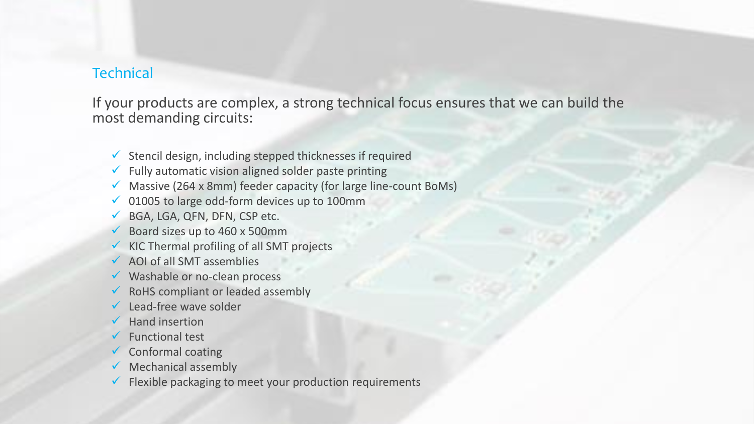## **Technical**

If your products are complex, a strong technical focus ensures that we can build the most demanding circuits:

- $\checkmark$  Stencil design, including stepped thicknesses if required
- $\checkmark$  Fully automatic vision aligned solder paste printing
- $\checkmark$  Massive (264 x 8mm) feeder capacity (for large line-count BoMs)
- $\checkmark$  01005 to large odd-form devices up to 100mm
- BGA, LGA, QFN, DFN, CSP etc.
- Board sizes up to 460 x 500mm
- $\checkmark$  KIC Thermal profiling of all SMT projects
- AOI of all SMT assemblies
- $\checkmark$  Washable or no-clean process
- $\checkmark$  RoHS compliant or leaded assembly
- Lead-free wave solder
- Hand insertion
- Functional test
- Conformal coating
- $\checkmark$  Mechanical assembly
- Flexible packaging to meet your production requirements